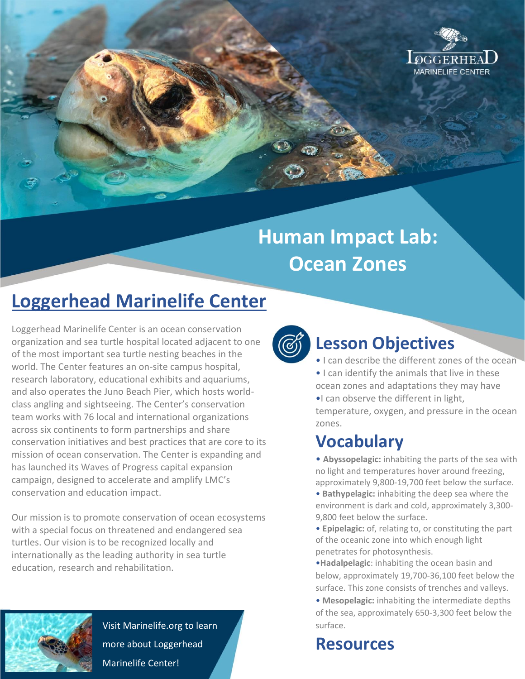

# **Human Impact Lab: Ocean Zones**

# **Loggerhead Marinelife Center**

Loggerhead Marinelife Center is an ocean conservation organization and sea turtle hospital located adjacent to one of the most important sea turtle nesting beaches in the world. The Center features an on-site campus hospital, research laboratory, educational exhibits and aquariums, and also operates the Juno Beach Pier, which hosts worldclass angling and sightseeing. The Center's conservation team works with 76 local and international organizations across six continents to form partnerships and share conservation initiatives and best practices that are core to its mission of ocean conservation. The Center is expanding and has launched its Waves of Progress capital expansion campaign, designed to accelerate and amplify LMC's conservation and education impact.

Our mission is to promote conservation of ocean ecosystems with a special focus on threatened and endangered sea turtles. Our vision is to be recognized locally and internationally as the leading authority in sea turtle education, research and rehabilitation.



Visit Marinelife.org to learn more about Loggerhead Marinelife Center!



### **Lesson Objectives**

- I can describe the different zones of the ocean • I can identify the animals that live in these
- ocean zones and adaptations they may have •I can observe the different in light, temperature, oxygen, and pressure in the ocean zones.

## **Vocabulary**

• **Abyssopelagic:** inhabiting the parts of the sea with no light and temperatures hover around freezing, approximately 9,800-19,700 feet below the surface.

- **Bathypelagic:** inhabiting the deep sea where the environment is dark and cold, approximately 3,300- 9,800 feet below the surface.
- **Epipelagic:** of, relating to, or constituting the part of the oceanic zone into which enough light penetrates for photosynthesis.
- •**Hadalpelagic**: inhabiting the ocean basin and below, approximately 19,700-36,100 feet below the surface. This zone consists of trenches and valleys.
- **Mesopelagic:** inhabiting the intermediate depths of the sea, approximately 650-3,300 feet below the surface.

#### **Resources**